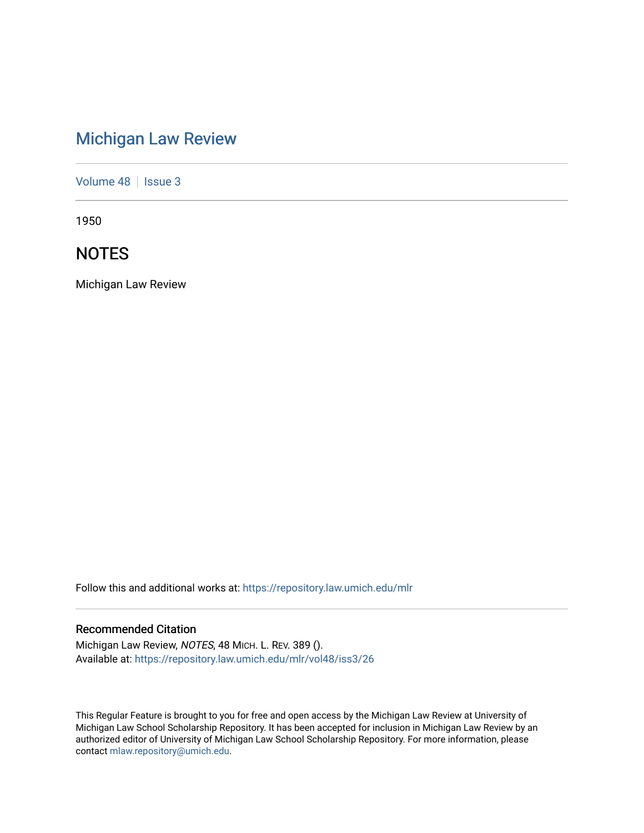# [Michigan Law Review](https://repository.law.umich.edu/mlr)

[Volume 48](https://repository.law.umich.edu/mlr/vol48) | [Issue 3](https://repository.law.umich.edu/mlr/vol48/iss3)

1950

# **NOTES**

Michigan Law Review

Follow this and additional works at: [https://repository.law.umich.edu/mlr](https://repository.law.umich.edu/mlr?utm_source=repository.law.umich.edu%2Fmlr%2Fvol48%2Fiss3%2F26&utm_medium=PDF&utm_campaign=PDFCoverPages) 

# Recommended Citation

Michigan Law Review, NOTES, 48 MICH. L. REV. 389 (). Available at: [https://repository.law.umich.edu/mlr/vol48/iss3/26](https://repository.law.umich.edu/mlr/vol48/iss3/26?utm_source=repository.law.umich.edu%2Fmlr%2Fvol48%2Fiss3%2F26&utm_medium=PDF&utm_campaign=PDFCoverPages) 

This Regular Feature is brought to you for free and open access by the Michigan Law Review at University of Michigan Law School Scholarship Repository. It has been accepted for inclusion in Michigan Law Review by an authorized editor of University of Michigan Law School Scholarship Repository. For more information, please contact [mlaw.repository@umich.edu](mailto:mlaw.repository@umich.edu).